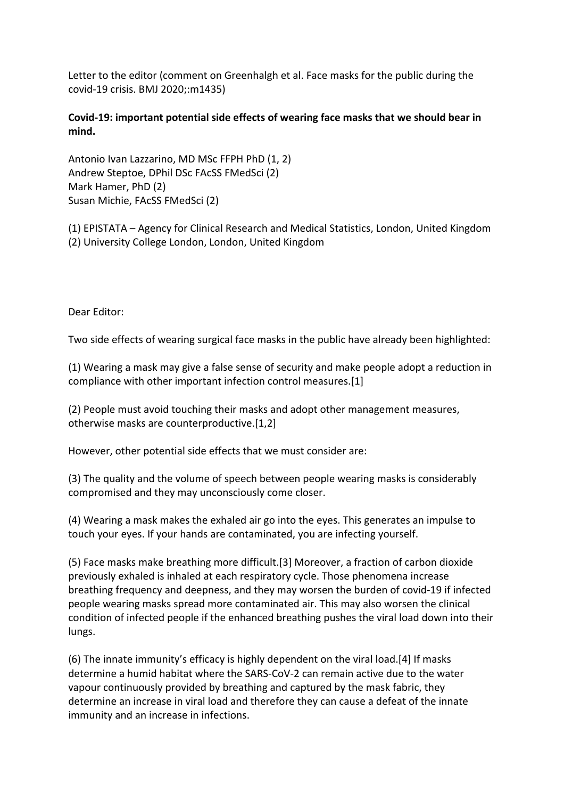Letter to the editor (comment on Greenhalgh et al. Face masks for the public during the covid-19 crisis. BMJ 2020;:m1435)

## **Covid-19: important potential side effects of wearing face masks that we should bear in mind.**

Antonio Ivan Lazzarino, MD MSc FFPH PhD (1, 2) Andrew Steptoe, DPhil DSc FAcSS FMedSci (2) Mark Hamer, PhD (2) Susan Michie, FAcSS FMedSci (2)

(1) EPISTATA – Agency for Clinical Research and Medical Statistics, London, United Kingdom (2) University College London, London, United Kingdom

Dear Editor:

Two side effects of wearing surgical face masks in the public have already been highlighted:

(1) Wearing a mask may give a false sense of security and make people adopt a reduction in compliance with other important infection control measures.[1]

(2) People must avoid touching their masks and adopt other management measures, otherwise masks are counterproductive.[1,2]

However, other potential side effects that we must consider are:

(3) The quality and the volume of speech between people wearing masks is considerably compromised and they may unconsciously come closer.

(4) Wearing a mask makes the exhaled air go into the eyes. This generates an impulse to touch your eyes. If your hands are contaminated, you are infecting yourself.

(5) Face masks make breathing more difficult.[3] Moreover, a fraction of carbon dioxide previously exhaled is inhaled at each respiratory cycle. Those phenomena increase breathing frequency and deepness, and they may worsen the burden of covid-19 if infected people wearing masks spread more contaminated air. This may also worsen the clinical condition of infected people if the enhanced breathing pushes the viral load down into their lungs.

(6) The innate immunity's efficacy is highly dependent on the viral load.[4] If masks determine a humid habitat where the SARS-CoV-2 can remain active due to the water vapour continuously provided by breathing and captured by the mask fabric, they determine an increase in viral load and therefore they can cause a defeat of the innate immunity and an increase in infections.